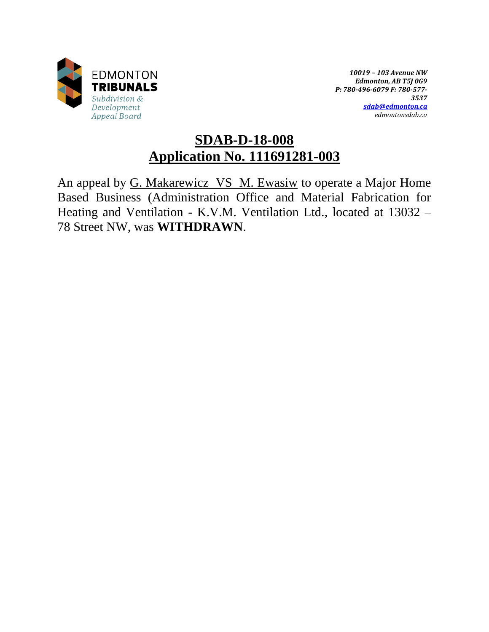

*10019 – 103 Avenue NW Edmonton, AB T5J 0G9 P: 780-496-6079 F: 780-577- 3537 [sdab@edmonton.ca](mailto:sdab@edmonton.ca) edmontonsdab.ca*

# **SDAB-D-18-008 Application No. 111691281-003**

An appeal by G. Makarewicz VS M. Ewasiw to operate a Major Home Based Business (Administration Office and Material Fabrication for Heating and Ventilation - K.V.M. Ventilation Ltd., located at 13032 – 78 Street NW, was **WITHDRAWN**.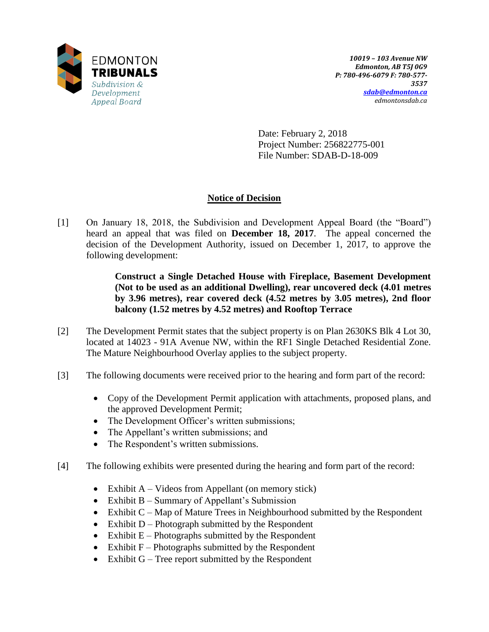

Date: February 2, 2018 Project Number: 256822775-001 File Number: SDAB-D-18-009

# **Notice of Decision**

[1] On January 18, 2018, the Subdivision and Development Appeal Board (the "Board") heard an appeal that was filed on **December 18, 2017**. The appeal concerned the decision of the Development Authority, issued on December 1, 2017, to approve the following development:

> **Construct a Single Detached House with Fireplace, Basement Development (Not to be used as an additional Dwelling), rear uncovered deck (4.01 metres by 3.96 metres), rear covered deck (4.52 metres by 3.05 metres), 2nd floor balcony (1.52 metres by 4.52 metres) and Rooftop Terrace**

- [2] The Development Permit states that the subject property is on Plan 2630KS Blk 4 Lot 30, located at 14023 - 91A Avenue NW, within the RF1 Single Detached Residential Zone. The Mature Neighbourhood Overlay applies to the subject property.
- [3] The following documents were received prior to the hearing and form part of the record:
	- Copy of the Development Permit application with attachments, proposed plans, and the approved Development Permit;
	- The Development Officer's written submissions;
	- The Appellant's written submissions; and
	- The Respondent's written submissions.
- [4] The following exhibits were presented during the hearing and form part of the record:
	- Exhibit  $A V$ ideos from Appellant (on memory stick)
	- Exhibit B Summary of Appellant's Submission
	- Exhibit  $C Map$  of Mature Trees in Neighbourhood submitted by the Respondent
	- $\bullet$  Exhibit D Photograph submitted by the Respondent
	- Exhibit  $E -$ Photographs submitted by the Respondent
	- $\bullet$  Exhibit F Photographs submitted by the Respondent
	- Exhibit  $G$  Tree report submitted by the Respondent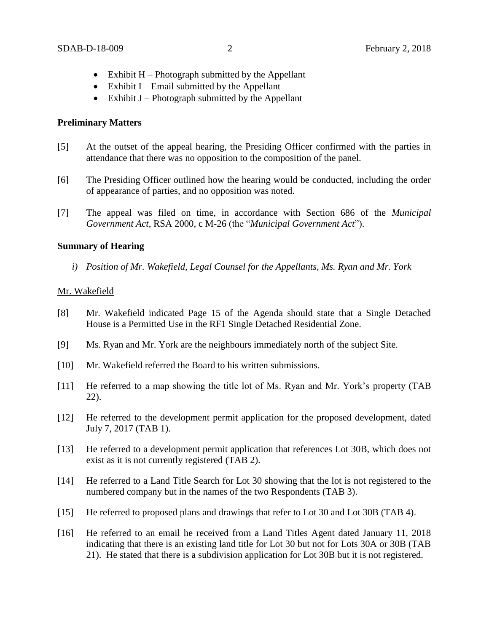- $\bullet$  Exhibit H Photograph submitted by the Appellant
- $\bullet$  Exhibit I Email submitted by the Appellant
- $\bullet$  Exhibit J Photograph submitted by the Appellant

## **Preliminary Matters**

- [5] At the outset of the appeal hearing, the Presiding Officer confirmed with the parties in attendance that there was no opposition to the composition of the panel.
- [6] The Presiding Officer outlined how the hearing would be conducted, including the order of appearance of parties, and no opposition was noted.
- [7] The appeal was filed on time, in accordance with Section 686 of the *Municipal Government Act*, RSA 2000, c M-26 (the "*Municipal Government Act*").

### **Summary of Hearing**

*i) Position of Mr. Wakefield, Legal Counsel for the Appellants, Ms. Ryan and Mr. York*

### Mr. Wakefield

- [8] Mr. Wakefield indicated Page 15 of the Agenda should state that a Single Detached House is a Permitted Use in the RF1 Single Detached Residential Zone.
- [9] Ms. Ryan and Mr. York are the neighbours immediately north of the subject Site.
- [10] Mr. Wakefield referred the Board to his written submissions.
- [11] He referred to a map showing the title lot of Ms. Ryan and Mr. York's property (TAB 22).
- [12] He referred to the development permit application for the proposed development, dated July 7, 2017 (TAB 1).
- [13] He referred to a development permit application that references Lot 30B, which does not exist as it is not currently registered (TAB 2).
- [14] He referred to a Land Title Search for Lot 30 showing that the lot is not registered to the numbered company but in the names of the two Respondents (TAB 3).
- [15] He referred to proposed plans and drawings that refer to Lot 30 and Lot 30B (TAB 4).
- [16] He referred to an email he received from a Land Titles Agent dated January 11, 2018 indicating that there is an existing land title for Lot 30 but not for Lots 30A or 30B (TAB 21). He stated that there is a subdivision application for Lot 30B but it is not registered.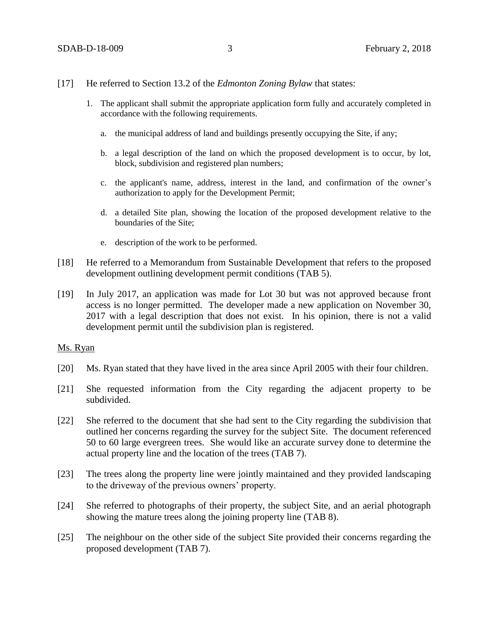- [17] He referred to Section 13.2 of the *Edmonton Zoning Bylaw* that states:
	- 1. The applicant shall submit the appropriate application form fully and accurately completed in accordance with the following requirements.
		- a. the municipal address of land and buildings presently occupying the Site, if any;
		- b. a legal description of the land on which the proposed development is to occur, by lot, block, subdivision and registered plan numbers;
		- c. the applicant's name, address, interest in the land, and confirmation of the owner's authorization to apply for the Development Permit;
		- d. a detailed Site plan, showing the location of the proposed development relative to the boundaries of the Site;
		- e. description of the work to be performed.
- [18] He referred to a Memorandum from Sustainable Development that refers to the proposed development outlining development permit conditions (TAB 5).
- [19] In July 2017, an application was made for Lot 30 but was not approved because front access is no longer permitted. The developer made a new application on November 30, 2017 with a legal description that does not exist. In his opinion, there is not a valid development permit until the subdivision plan is registered.

## Ms. Ryan

- [20] Ms. Ryan stated that they have lived in the area since April 2005 with their four children.
- [21] She requested information from the City regarding the adjacent property to be subdivided.
- [22] She referred to the document that she had sent to the City regarding the subdivision that outlined her concerns regarding the survey for the subject Site. The document referenced 50 to 60 large evergreen trees. She would like an accurate survey done to determine the actual property line and the location of the trees (TAB 7).
- [23] The trees along the property line were jointly maintained and they provided landscaping to the driveway of the previous owners' property.
- [24] She referred to photographs of their property, the subject Site, and an aerial photograph showing the mature trees along the joining property line (TAB 8).
- [25] The neighbour on the other side of the subject Site provided their concerns regarding the proposed development (TAB 7).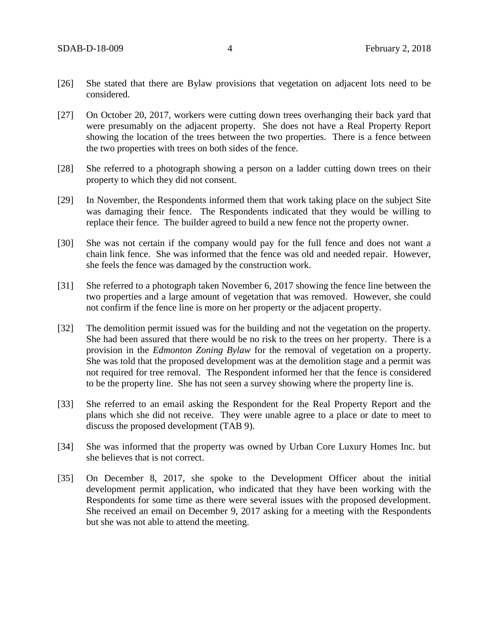- [26] She stated that there are Bylaw provisions that vegetation on adjacent lots need to be considered.
- [27] On October 20, 2017, workers were cutting down trees overhanging their back yard that were presumably on the adjacent property. She does not have a Real Property Report showing the location of the trees between the two properties. There is a fence between the two properties with trees on both sides of the fence.
- [28] She referred to a photograph showing a person on a ladder cutting down trees on their property to which they did not consent.
- [29] In November, the Respondents informed them that work taking place on the subject Site was damaging their fence. The Respondents indicated that they would be willing to replace their fence. The builder agreed to build a new fence not the property owner.
- [30] She was not certain if the company would pay for the full fence and does not want a chain link fence. She was informed that the fence was old and needed repair. However, she feels the fence was damaged by the construction work.
- [31] She referred to a photograph taken November 6, 2017 showing the fence line between the two properties and a large amount of vegetation that was removed. However, she could not confirm if the fence line is more on her property or the adjacent property.
- [32] The demolition permit issued was for the building and not the vegetation on the property. She had been assured that there would be no risk to the trees on her property. There is a provision in the *Edmonton Zoning Bylaw* for the removal of vegetation on a property. She was told that the proposed development was at the demolition stage and a permit was not required for tree removal. The Respondent informed her that the fence is considered to be the property line. She has not seen a survey showing where the property line is.
- [33] She referred to an email asking the Respondent for the Real Property Report and the plans which she did not receive. They were unable agree to a place or date to meet to discuss the proposed development (TAB 9).
- [34] She was informed that the property was owned by Urban Core Luxury Homes Inc. but she believes that is not correct.
- [35] On December 8, 2017, she spoke to the Development Officer about the initial development permit application, who indicated that they have been working with the Respondents for some time as there were several issues with the proposed development. She received an email on December 9, 2017 asking for a meeting with the Respondents but she was not able to attend the meeting.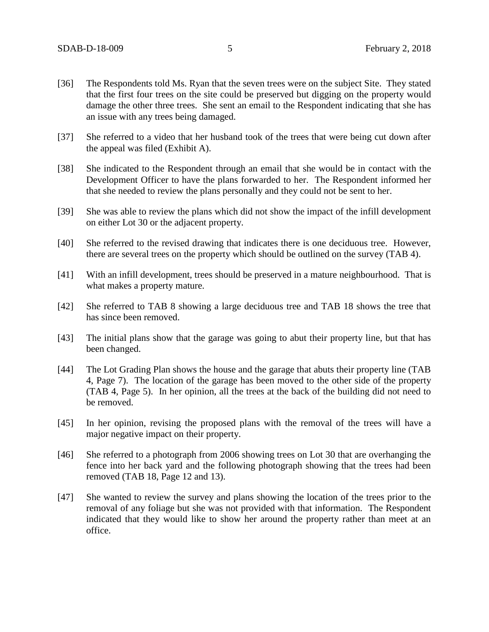- [36] The Respondents told Ms. Ryan that the seven trees were on the subject Site. They stated that the first four trees on the site could be preserved but digging on the property would damage the other three trees. She sent an email to the Respondent indicating that she has an issue with any trees being damaged.
- [37] She referred to a video that her husband took of the trees that were being cut down after the appeal was filed (Exhibit A).
- [38] She indicated to the Respondent through an email that she would be in contact with the Development Officer to have the plans forwarded to her. The Respondent informed her that she needed to review the plans personally and they could not be sent to her.
- [39] She was able to review the plans which did not show the impact of the infill development on either Lot 30 or the adjacent property.
- [40] She referred to the revised drawing that indicates there is one deciduous tree. However, there are several trees on the property which should be outlined on the survey (TAB 4).
- [41] With an infill development, trees should be preserved in a mature neighbourhood. That is what makes a property mature.
- [42] She referred to TAB 8 showing a large deciduous tree and TAB 18 shows the tree that has since been removed.
- [43] The initial plans show that the garage was going to abut their property line, but that has been changed.
- [44] The Lot Grading Plan shows the house and the garage that abuts their property line (TAB 4, Page 7). The location of the garage has been moved to the other side of the property (TAB 4, Page 5). In her opinion, all the trees at the back of the building did not need to be removed.
- [45] In her opinion, revising the proposed plans with the removal of the trees will have a major negative impact on their property.
- [46] She referred to a photograph from 2006 showing trees on Lot 30 that are overhanging the fence into her back yard and the following photograph showing that the trees had been removed (TAB 18, Page 12 and 13).
- [47] She wanted to review the survey and plans showing the location of the trees prior to the removal of any foliage but she was not provided with that information. The Respondent indicated that they would like to show her around the property rather than meet at an office.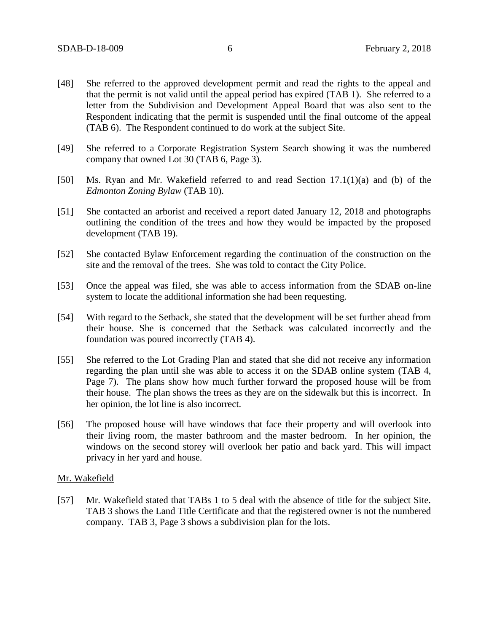- [48] She referred to the approved development permit and read the rights to the appeal and that the permit is not valid until the appeal period has expired (TAB 1). She referred to a letter from the Subdivision and Development Appeal Board that was also sent to the Respondent indicating that the permit is suspended until the final outcome of the appeal (TAB 6). The Respondent continued to do work at the subject Site.
- [49] She referred to a Corporate Registration System Search showing it was the numbered company that owned Lot 30 (TAB 6, Page 3).
- [50] Ms. Ryan and Mr. Wakefield referred to and read Section 17.1(1)(a) and (b) of the *Edmonton Zoning Bylaw* (TAB 10).
- [51] She contacted an arborist and received a report dated January 12, 2018 and photographs outlining the condition of the trees and how they would be impacted by the proposed development (TAB 19).
- [52] She contacted Bylaw Enforcement regarding the continuation of the construction on the site and the removal of the trees. She was told to contact the City Police.
- [53] Once the appeal was filed, she was able to access information from the SDAB on-line system to locate the additional information she had been requesting.
- [54] With regard to the Setback, she stated that the development will be set further ahead from their house. She is concerned that the Setback was calculated incorrectly and the foundation was poured incorrectly (TAB 4).
- [55] She referred to the Lot Grading Plan and stated that she did not receive any information regarding the plan until she was able to access it on the SDAB online system (TAB 4, Page 7). The plans show how much further forward the proposed house will be from their house. The plan shows the trees as they are on the sidewalk but this is incorrect. In her opinion, the lot line is also incorrect.
- [56] The proposed house will have windows that face their property and will overlook into their living room, the master bathroom and the master bedroom. In her opinion, the windows on the second storey will overlook her patio and back yard. This will impact privacy in her yard and house.

#### Mr. Wakefield

[57] Mr. Wakefield stated that TABs 1 to 5 deal with the absence of title for the subject Site. TAB 3 shows the Land Title Certificate and that the registered owner is not the numbered company. TAB 3, Page 3 shows a subdivision plan for the lots.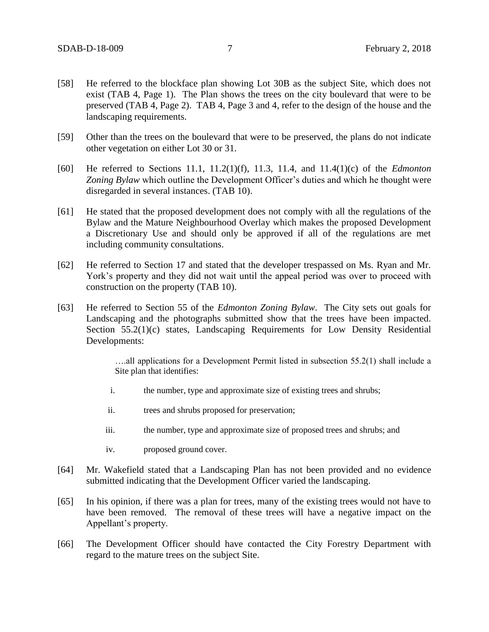- [58] He referred to the blockface plan showing Lot 30B as the subject Site, which does not exist (TAB 4, Page 1). The Plan shows the trees on the city boulevard that were to be preserved (TAB 4, Page 2). TAB 4, Page 3 and 4, refer to the design of the house and the landscaping requirements.
- [59] Other than the trees on the boulevard that were to be preserved, the plans do not indicate other vegetation on either Lot 30 or 31.
- [60] He referred to Sections 11.1, 11.2(1)(f), 11.3, 11.4, and 11.4(1)(c) of the *Edmonton Zoning Bylaw* which outline the Development Officer's duties and which he thought were disregarded in several instances. (TAB 10).
- [61] He stated that the proposed development does not comply with all the regulations of the Bylaw and the Mature Neighbourhood Overlay which makes the proposed Development a Discretionary Use and should only be approved if all of the regulations are met including community consultations.
- [62] He referred to Section 17 and stated that the developer trespassed on Ms. Ryan and Mr. York's property and they did not wait until the appeal period was over to proceed with construction on the property (TAB 10).
- [63] He referred to Section 55 of the *Edmonton Zoning Bylaw*. The City sets out goals for Landscaping and the photographs submitted show that the trees have been impacted. Section 55.2(1)(c) states, Landscaping Requirements for Low Density Residential Developments:

….all applications for a Development Permit listed in subsection 55.2(1) shall include a Site plan that identifies:

- i. the number, type and approximate size of existing trees and shrubs;
- ii. trees and shrubs proposed for preservation;
- iii. the number, type and approximate size of proposed trees and shrubs; and
- iv. proposed ground cover.
- [64] Mr. Wakefield stated that a Landscaping Plan has not been provided and no evidence submitted indicating that the Development Officer varied the landscaping.
- [65] In his opinion, if there was a plan for trees, many of the existing trees would not have to have been removed. The removal of these trees will have a negative impact on the Appellant's property.
- [66] The Development Officer should have contacted the City Forestry Department with regard to the mature trees on the subject Site.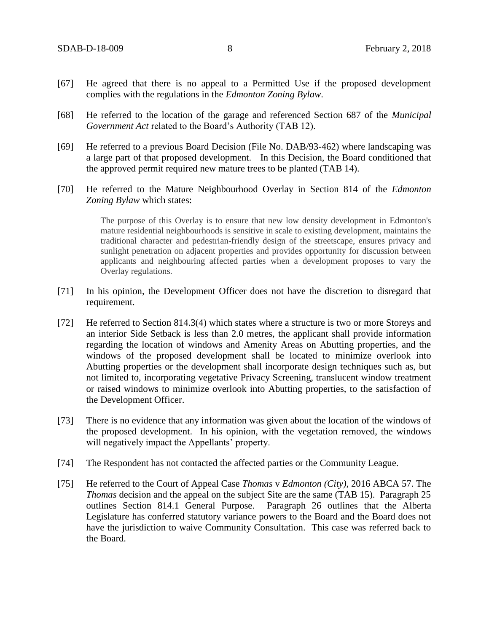- [67] He agreed that there is no appeal to a Permitted Use if the proposed development complies with the regulations in the *Edmonton Zoning Bylaw*.
- [68] He referred to the location of the garage and referenced Section 687 of the *Municipal Government Act* related to the Board's Authority (TAB 12).
- [69] He referred to a previous Board Decision (File No. DAB/93-462) where landscaping was a large part of that proposed development. In this Decision, the Board conditioned that the approved permit required new mature trees to be planted (TAB 14).
- [70] He referred to the Mature Neighbourhood Overlay in Section 814 of the *Edmonton Zoning Bylaw* which states:

The purpose of this Overlay is to ensure that new low density development in Edmonton's mature residential neighbourhoods is sensitive in scale to existing development, maintains the traditional character and pedestrian-friendly design of the streetscape, ensures privacy and sunlight penetration on adjacent properties and provides opportunity for discussion between applicants and neighbouring affected parties when a development proposes to vary the Overlay regulations.

- [71] In his opinion, the Development Officer does not have the discretion to disregard that requirement.
- [72] He referred to Section 814.3(4) which states where a structure is two or more Storeys and an interior Side Setback is less than 2.0 metres, the applicant shall provide information regarding the location of windows and Amenity Areas on Abutting properties, and the windows of the proposed development shall be located to minimize overlook into Abutting properties or the development shall incorporate design techniques such as, but not limited to, incorporating vegetative Privacy Screening, translucent window treatment or raised windows to minimize overlook into Abutting properties, to the satisfaction of the Development Officer.
- [73] There is no evidence that any information was given about the location of the windows of the proposed development. In his opinion, with the vegetation removed, the windows will negatively impact the Appellants' property.
- [74] The Respondent has not contacted the affected parties or the Community League.
- [75] He referred to the Court of Appeal Case *Thomas* v *Edmonton (City)*, 2016 ABCA 57. The *Thomas* decision and the appeal on the subject Site are the same (TAB 15). Paragraph 25 outlines Section 814.1 General Purpose. Paragraph 26 outlines that the Alberta Legislature has conferred statutory variance powers to the Board and the Board does not have the jurisdiction to waive Community Consultation. This case was referred back to the Board.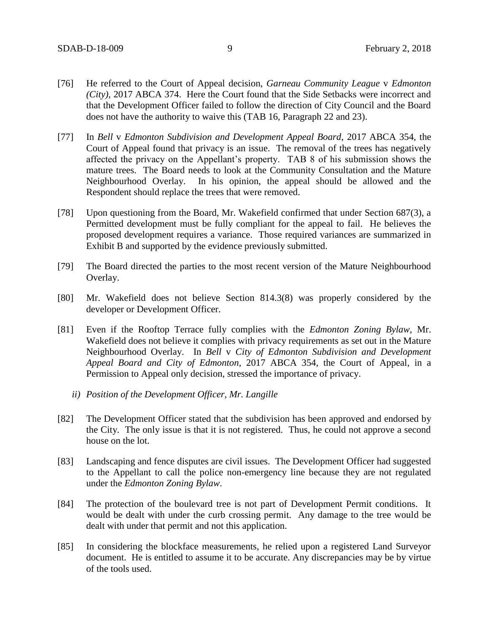- [76] He referred to the Court of Appeal decision, *Garneau Community League* v *Edmonton (City),* 2017 ABCA 374. Here the Court found that the Side Setbacks were incorrect and that the Development Officer failed to follow the direction of City Council and the Board does not have the authority to waive this (TAB 16, Paragraph 22 and 23).
- [77] In *Bell* v *Edmonton Subdivision and Development Appeal Board*, 2017 ABCA 354, the Court of Appeal found that privacy is an issue. The removal of the trees has negatively affected the privacy on the Appellant's property. TAB 8 of his submission shows the mature trees. The Board needs to look at the Community Consultation and the Mature Neighbourhood Overlay. In his opinion, the appeal should be allowed and the Respondent should replace the trees that were removed.
- [78] Upon questioning from the Board, Mr. Wakefield confirmed that under Section 687(3), a Permitted development must be fully compliant for the appeal to fail. He believes the proposed development requires a variance. Those required variances are summarized in Exhibit B and supported by the evidence previously submitted.
- [79] The Board directed the parties to the most recent version of the Mature Neighbourhood Overlay.
- [80] Mr. Wakefield does not believe Section 814.3(8) was properly considered by the developer or Development Officer.
- [81] Even if the Rooftop Terrace fully complies with the *Edmonton Zoning Bylaw*, Mr. Wakefield does not believe it complies with privacy requirements as set out in the Mature Neighbourhood Overlay. In *Bell* v *City of Edmonton Subdivision and Development Appeal Board and City of Edmonton*, 2017 ABCA 354, the Court of Appeal, in a Permission to Appeal only decision, stressed the importance of privacy.
	- *ii) Position of the Development Officer, Mr. Langille*
- [82] The Development Officer stated that the subdivision has been approved and endorsed by the City. The only issue is that it is not registered. Thus, he could not approve a second house on the lot.
- [83] Landscaping and fence disputes are civil issues. The Development Officer had suggested to the Appellant to call the police non-emergency line because they are not regulated under the *Edmonton Zoning Bylaw*.
- [84] The protection of the boulevard tree is not part of Development Permit conditions. It would be dealt with under the curb crossing permit. Any damage to the tree would be dealt with under that permit and not this application.
- [85] In considering the blockface measurements, he relied upon a registered Land Surveyor document. He is entitled to assume it to be accurate. Any discrepancies may be by virtue of the tools used.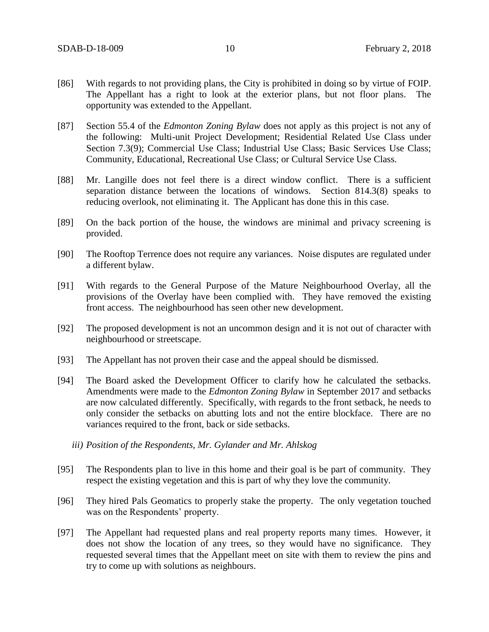- [86] With regards to not providing plans, the City is prohibited in doing so by virtue of FOIP. The Appellant has a right to look at the exterior plans, but not floor plans. The opportunity was extended to the Appellant.
- [87] Section 55.4 of the *Edmonton Zoning Bylaw* does not apply as this project is not any of the following: Multi-unit Project Development; Residential Related Use Class under Section 7.3(9); Commercial Use Class; Industrial Use Class; Basic Services Use Class; Community, Educational, Recreational Use Class; or Cultural Service Use Class.
- [88] Mr. Langille does not feel there is a direct window conflict. There is a sufficient separation distance between the locations of windows. Section 814.3(8) speaks to reducing overlook, not eliminating it. The Applicant has done this in this case.
- [89] On the back portion of the house, the windows are minimal and privacy screening is provided.
- [90] The Rooftop Terrence does not require any variances. Noise disputes are regulated under a different bylaw.
- [91] With regards to the General Purpose of the Mature Neighbourhood Overlay, all the provisions of the Overlay have been complied with. They have removed the existing front access. The neighbourhood has seen other new development.
- [92] The proposed development is not an uncommon design and it is not out of character with neighbourhood or streetscape.
- [93] The Appellant has not proven their case and the appeal should be dismissed.
- [94] The Board asked the Development Officer to clarify how he calculated the setbacks. Amendments were made to the *Edmonton Zoning Bylaw* in September 2017 and setbacks are now calculated differently. Specifically, with regards to the front setback, he needs to only consider the setbacks on abutting lots and not the entire blockface. There are no variances required to the front, back or side setbacks.
	- *iii) Position of the Respondents, Mr. Gylander and Mr. Ahlskog*
- [95] The Respondents plan to live in this home and their goal is be part of community. They respect the existing vegetation and this is part of why they love the community.
- [96] They hired Pals Geomatics to properly stake the property. The only vegetation touched was on the Respondents' property.
- [97] The Appellant had requested plans and real property reports many times. However, it does not show the location of any trees, so they would have no significance. They requested several times that the Appellant meet on site with them to review the pins and try to come up with solutions as neighbours.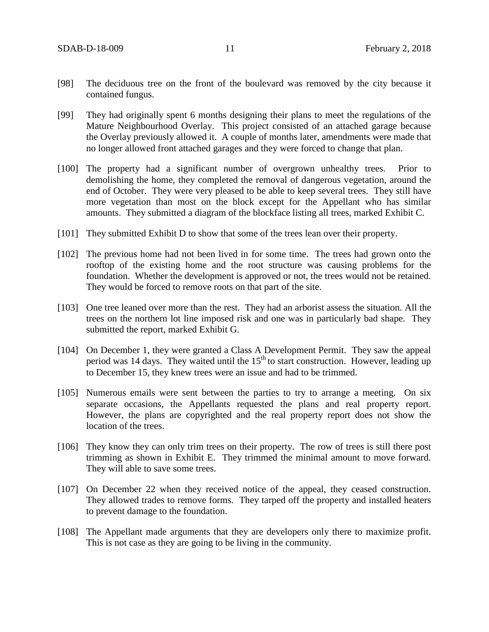- [98] The deciduous tree on the front of the boulevard was removed by the city because it contained fungus.
- [99] They had originally spent 6 months designing their plans to meet the regulations of the Mature Neighbourhood Overlay. This project consisted of an attached garage because the Overlay previously allowed it. A couple of months later, amendments were made that no longer allowed front attached garages and they were forced to change that plan.
- [100] The property had a significant number of overgrown unhealthy trees. Prior to demolishing the home, they completed the removal of dangerous vegetation, around the end of October. They were very pleased to be able to keep several trees. They still have more vegetation than most on the block except for the Appellant who has similar amounts. They submitted a diagram of the blockface listing all trees, marked Exhibit C.
- [101] They submitted Exhibit D to show that some of the trees lean over their property.
- [102] The previous home had not been lived in for some time. The trees had grown onto the rooftop of the existing home and the root structure was causing problems for the foundation. Whether the development is approved or not, the trees would not be retained. They would be forced to remove roots on that part of the site.
- [103] One tree leaned over more than the rest. They had an arborist assess the situation. All the trees on the northern lot line imposed risk and one was in particularly bad shape. They submitted the report, marked Exhibit G.
- [104] On December 1, they were granted a Class A Development Permit. They saw the appeal period was 14 days. They waited until the  $15<sup>th</sup>$  to start construction. However, leading up to December 15, they knew trees were an issue and had to be trimmed.
- [105] Numerous emails were sent between the parties to try to arrange a meeting. On six separate occasions, the Appellants requested the plans and real property report. However, the plans are copyrighted and the real property report does not show the location of the trees.
- [106] They know they can only trim trees on their property. The row of trees is still there post trimming as shown in Exhibit E. They trimmed the minimal amount to move forward. They will able to save some trees.
- [107] On December 22 when they received notice of the appeal, they ceased construction. They allowed trades to remove forms. They tarped off the property and installed heaters to prevent damage to the foundation.
- [108] The Appellant made arguments that they are developers only there to maximize profit. This is not case as they are going to be living in the community.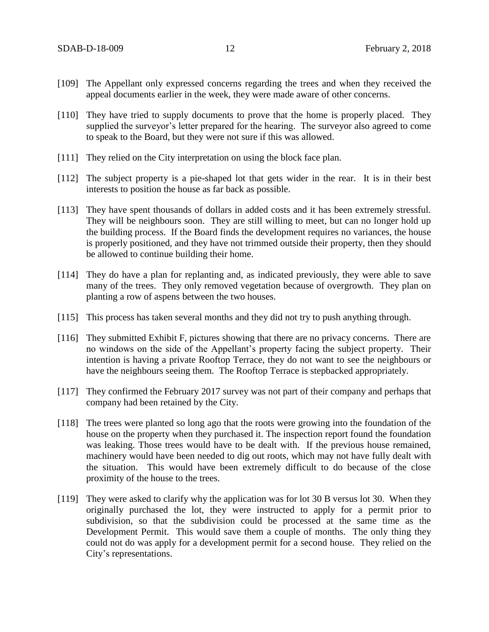- [109] The Appellant only expressed concerns regarding the trees and when they received the appeal documents earlier in the week, they were made aware of other concerns.
- [110] They have tried to supply documents to prove that the home is properly placed. They supplied the surveyor's letter prepared for the hearing. The surveyor also agreed to come to speak to the Board, but they were not sure if this was allowed.
- [111] They relied on the City interpretation on using the block face plan.
- [112] The subject property is a pie-shaped lot that gets wider in the rear. It is in their best interests to position the house as far back as possible.
- [113] They have spent thousands of dollars in added costs and it has been extremely stressful. They will be neighbours soon. They are still willing to meet, but can no longer hold up the building process. If the Board finds the development requires no variances, the house is properly positioned, and they have not trimmed outside their property, then they should be allowed to continue building their home.
- [114] They do have a plan for replanting and, as indicated previously, they were able to save many of the trees. They only removed vegetation because of overgrowth. They plan on planting a row of aspens between the two houses.
- [115] This process has taken several months and they did not try to push anything through.
- [116] They submitted Exhibit F, pictures showing that there are no privacy concerns. There are no windows on the side of the Appellant's property facing the subject property. Their intention is having a private Rooftop Terrace, they do not want to see the neighbours or have the neighbours seeing them. The Rooftop Terrace is stepbacked appropriately.
- [117] They confirmed the February 2017 survey was not part of their company and perhaps that company had been retained by the City.
- [118] The trees were planted so long ago that the roots were growing into the foundation of the house on the property when they purchased it. The inspection report found the foundation was leaking. Those trees would have to be dealt with. If the previous house remained, machinery would have been needed to dig out roots, which may not have fully dealt with the situation. This would have been extremely difficult to do because of the close proximity of the house to the trees.
- [119] They were asked to clarify why the application was for lot 30 B versus lot 30. When they originally purchased the lot, they were instructed to apply for a permit prior to subdivision, so that the subdivision could be processed at the same time as the Development Permit. This would save them a couple of months. The only thing they could not do was apply for a development permit for a second house. They relied on the City's representations.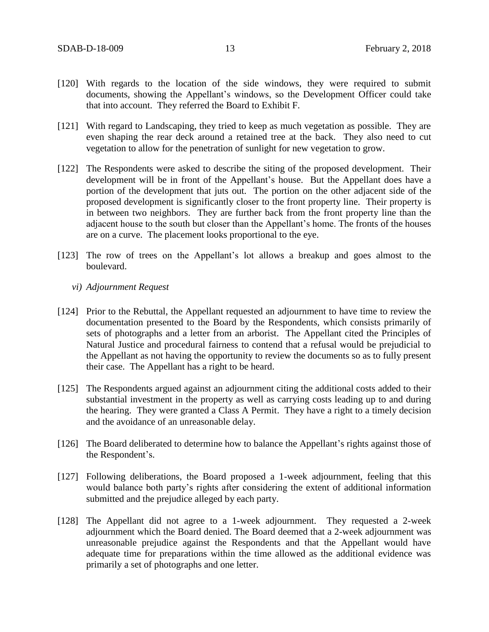- [120] With regards to the location of the side windows, they were required to submit documents, showing the Appellant's windows, so the Development Officer could take that into account. They referred the Board to Exhibit F.
- [121] With regard to Landscaping, they tried to keep as much vegetation as possible. They are even shaping the rear deck around a retained tree at the back. They also need to cut vegetation to allow for the penetration of sunlight for new vegetation to grow.
- [122] The Respondents were asked to describe the siting of the proposed development. Their development will be in front of the Appellant's house. But the Appellant does have a portion of the development that juts out. The portion on the other adjacent side of the proposed development is significantly closer to the front property line. Their property is in between two neighbors. They are further back from the front property line than the adjacent house to the south but closer than the Appellant's home. The fronts of the houses are on a curve. The placement looks proportional to the eye.
- [123] The row of trees on the Appellant's lot allows a breakup and goes almost to the boulevard.
	- *vi) Adjournment Request*
- [124] Prior to the Rebuttal, the Appellant requested an adjournment to have time to review the documentation presented to the Board by the Respondents, which consists primarily of sets of photographs and a letter from an arborist. The Appellant cited the Principles of Natural Justice and procedural fairness to contend that a refusal would be prejudicial to the Appellant as not having the opportunity to review the documents so as to fully present their case. The Appellant has a right to be heard.
- [125] The Respondents argued against an adjournment citing the additional costs added to their substantial investment in the property as well as carrying costs leading up to and during the hearing. They were granted a Class A Permit. They have a right to a timely decision and the avoidance of an unreasonable delay.
- [126] The Board deliberated to determine how to balance the Appellant's rights against those of the Respondent's.
- [127] Following deliberations, the Board proposed a 1-week adjournment, feeling that this would balance both party's rights after considering the extent of additional information submitted and the prejudice alleged by each party.
- [128] The Appellant did not agree to a 1-week adjournment. They requested a 2-week adjournment which the Board denied. The Board deemed that a 2-week adjournment was unreasonable prejudice against the Respondents and that the Appellant would have adequate time for preparations within the time allowed as the additional evidence was primarily a set of photographs and one letter.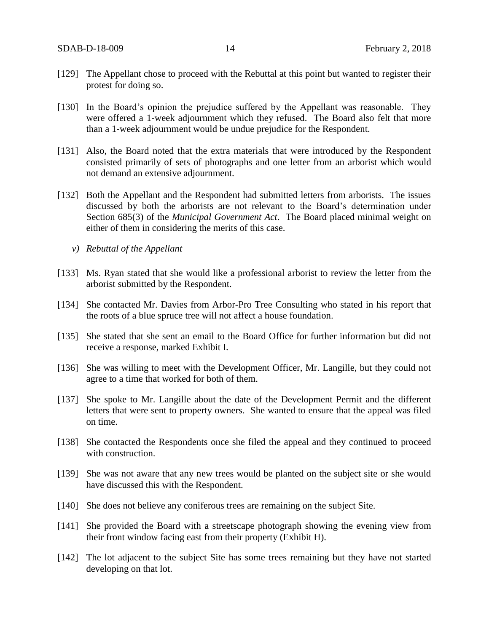- [129] The Appellant chose to proceed with the Rebuttal at this point but wanted to register their protest for doing so.
- [130] In the Board's opinion the prejudice suffered by the Appellant was reasonable. They were offered a 1-week adjournment which they refused. The Board also felt that more than a 1-week adjournment would be undue prejudice for the Respondent.
- [131] Also, the Board noted that the extra materials that were introduced by the Respondent consisted primarily of sets of photographs and one letter from an arborist which would not demand an extensive adjournment.
- [132] Both the Appellant and the Respondent had submitted letters from arborists. The issues discussed by both the arborists are not relevant to the Board's determination under Section 685(3) of the *Municipal Government Act*. The Board placed minimal weight on either of them in considering the merits of this case.
	- *v) Rebuttal of the Appellant*
- [133] Ms. Ryan stated that she would like a professional arborist to review the letter from the arborist submitted by the Respondent.
- [134] She contacted Mr. Davies from Arbor-Pro Tree Consulting who stated in his report that the roots of a blue spruce tree will not affect a house foundation.
- [135] She stated that she sent an email to the Board Office for further information but did not receive a response, marked Exhibit I.
- [136] She was willing to meet with the Development Officer, Mr. Langille, but they could not agree to a time that worked for both of them.
- [137] She spoke to Mr. Langille about the date of the Development Permit and the different letters that were sent to property owners. She wanted to ensure that the appeal was filed on time.
- [138] She contacted the Respondents once she filed the appeal and they continued to proceed with construction.
- [139] She was not aware that any new trees would be planted on the subject site or she would have discussed this with the Respondent.
- [140] She does not believe any coniferous trees are remaining on the subject Site.
- [141] She provided the Board with a streetscape photograph showing the evening view from their front window facing east from their property (Exhibit H).
- [142] The lot adjacent to the subject Site has some trees remaining but they have not started developing on that lot.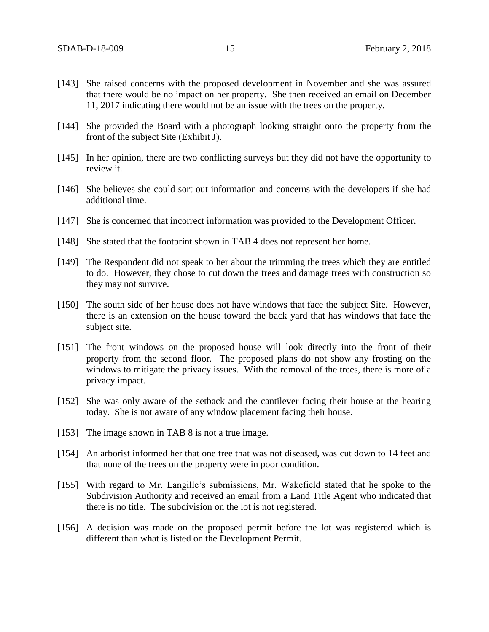- [143] She raised concerns with the proposed development in November and she was assured that there would be no impact on her property. She then received an email on December 11, 2017 indicating there would not be an issue with the trees on the property.
- [144] She provided the Board with a photograph looking straight onto the property from the front of the subject Site (Exhibit J).
- [145] In her opinion, there are two conflicting surveys but they did not have the opportunity to review it.
- [146] She believes she could sort out information and concerns with the developers if she had additional time.
- [147] She is concerned that incorrect information was provided to the Development Officer.
- [148] She stated that the footprint shown in TAB 4 does not represent her home.
- [149] The Respondent did not speak to her about the trimming the trees which they are entitled to do. However, they chose to cut down the trees and damage trees with construction so they may not survive.
- [150] The south side of her house does not have windows that face the subject Site. However, there is an extension on the house toward the back yard that has windows that face the subject site.
- [151] The front windows on the proposed house will look directly into the front of their property from the second floor. The proposed plans do not show any frosting on the windows to mitigate the privacy issues. With the removal of the trees, there is more of a privacy impact.
- [152] She was only aware of the setback and the cantilever facing their house at the hearing today. She is not aware of any window placement facing their house.
- [153] The image shown in TAB 8 is not a true image.
- [154] An arborist informed her that one tree that was not diseased, was cut down to 14 feet and that none of the trees on the property were in poor condition.
- [155] With regard to Mr. Langille's submissions, Mr. Wakefield stated that he spoke to the Subdivision Authority and received an email from a Land Title Agent who indicated that there is no title. The subdivision on the lot is not registered.
- [156] A decision was made on the proposed permit before the lot was registered which is different than what is listed on the Development Permit.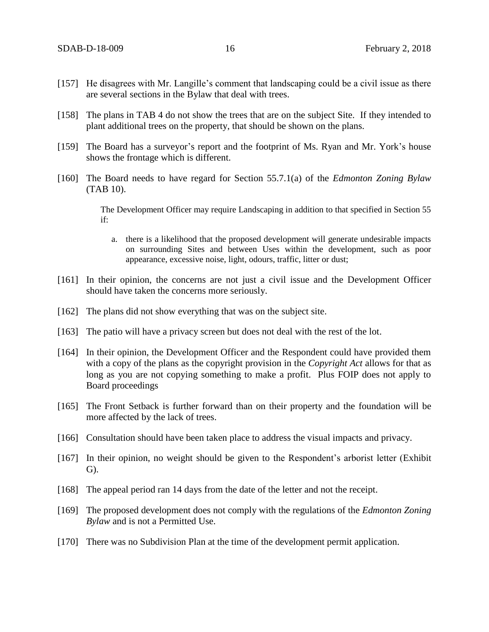- [157] He disagrees with Mr. Langille's comment that landscaping could be a civil issue as there are several sections in the Bylaw that deal with trees.
- [158] The plans in TAB 4 do not show the trees that are on the subject Site. If they intended to plant additional trees on the property, that should be shown on the plans.
- [159] The Board has a surveyor's report and the footprint of Ms. Ryan and Mr. York's house shows the frontage which is different.
- [160] The Board needs to have regard for Section 55.7.1(a) of the *Edmonton Zoning Bylaw* (TAB 10).

The Development Officer may require Landscaping in addition to that specified in Section 55 if:

- a. there is a likelihood that the proposed development will generate undesirable impacts on surrounding Sites and between Uses within the development, such as poor appearance, excessive noise, light, odours, traffic, litter or dust;
- [161] In their opinion, the concerns are not just a civil issue and the Development Officer should have taken the concerns more seriously.
- [162] The plans did not show everything that was on the subject site.
- [163] The patio will have a privacy screen but does not deal with the rest of the lot.
- [164] In their opinion, the Development Officer and the Respondent could have provided them with a copy of the plans as the copyright provision in the *Copyright Act* allows for that as long as you are not copying something to make a profit. Plus FOIP does not apply to Board proceedings
- [165] The Front Setback is further forward than on their property and the foundation will be more affected by the lack of trees.
- [166] Consultation should have been taken place to address the visual impacts and privacy.
- [167] In their opinion, no weight should be given to the Respondent's arborist letter (Exhibit G).
- [168] The appeal period ran 14 days from the date of the letter and not the receipt.
- [169] The proposed development does not comply with the regulations of the *Edmonton Zoning Bylaw* and is not a Permitted Use.
- [170] There was no Subdivision Plan at the time of the development permit application.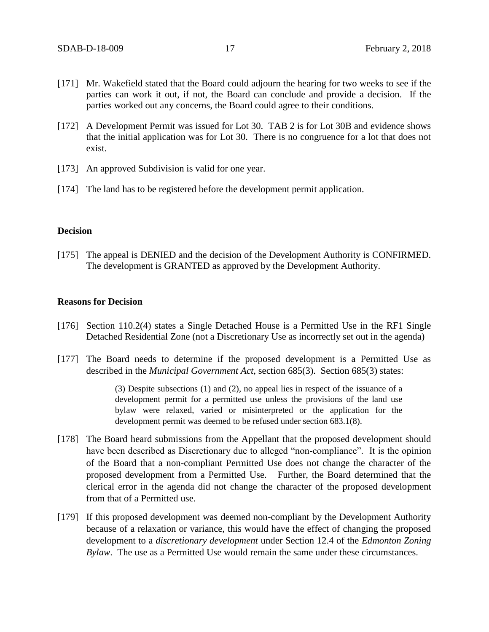- [171] Mr. Wakefield stated that the Board could adjourn the hearing for two weeks to see if the parties can work it out, if not, the Board can conclude and provide a decision. If the parties worked out any concerns, the Board could agree to their conditions.
- [172] A Development Permit was issued for Lot 30. TAB 2 is for Lot 30B and evidence shows that the initial application was for Lot 30. There is no congruence for a lot that does not exist.
- [173] An approved Subdivision is valid for one year.
- [174] The land has to be registered before the development permit application.

#### **Decision**

[175] The appeal is DENIED and the decision of the Development Authority is CONFIRMED. The development is GRANTED as approved by the Development Authority.

#### **Reasons for Decision**

- [176] Section 110.2(4) states a Single Detached House is a Permitted Use in the RF1 Single Detached Residential Zone (not a Discretionary Use as incorrectly set out in the agenda)
- [177] The Board needs to determine if the proposed development is a Permitted Use as described in the *Municipal Government Act*, section 685(3). Section 685(3) states:

(3) Despite subsections (1) and (2), no appeal lies in respect of the issuance of a development permit for a permitted use unless the provisions of the land use bylaw were relaxed, varied or misinterpreted or the application for the development permit was deemed to be refused under section 683.1(8).

- [178] The Board heard submissions from the Appellant that the proposed development should have been described as Discretionary due to alleged "non-compliance". It is the opinion of the Board that a non-compliant Permitted Use does not change the character of the proposed development from a Permitted Use. Further, the Board determined that the clerical error in the agenda did not change the character of the proposed development from that of a Permitted use.
- [179] If this proposed development was deemed non-compliant by the Development Authority because of a relaxation or variance, this would have the effect of changing the proposed development to a *discretionary development* under Section 12.4 of the *Edmonton Zoning Bylaw*. The use as a Permitted Use would remain the same under these circumstances.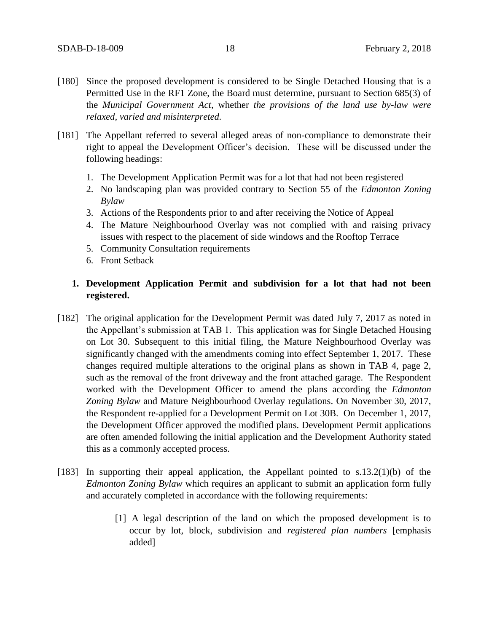- [180] Since the proposed development is considered to be Single Detached Housing that is a Permitted Use in the RF1 Zone, the Board must determine, pursuant to Section 685(3) of the *Municipal Government Act*, whether *the provisions of the land use by-law were relaxed, varied and misinterpreted.*
- [181] The Appellant referred to several alleged areas of non-compliance to demonstrate their right to appeal the Development Officer's decision. These will be discussed under the following headings:
	- 1. The Development Application Permit was for a lot that had not been registered
	- 2. No landscaping plan was provided contrary to Section 55 of the *Edmonton Zoning Bylaw*
	- 3. Actions of the Respondents prior to and after receiving the Notice of Appeal
	- 4. The Mature Neighbourhood Overlay was not complied with and raising privacy issues with respect to the placement of side windows and the Rooftop Terrace
	- 5. Community Consultation requirements
	- 6. Front Setback

# **1. Development Application Permit and subdivision for a lot that had not been registered.**

- [182] The original application for the Development Permit was dated July 7, 2017 as noted in the Appellant's submission at TAB 1. This application was for Single Detached Housing on Lot 30. Subsequent to this initial filing, the Mature Neighbourhood Overlay was significantly changed with the amendments coming into effect September 1, 2017. These changes required multiple alterations to the original plans as shown in TAB 4, page 2, such as the removal of the front driveway and the front attached garage. The Respondent worked with the Development Officer to amend the plans according the *Edmonton Zoning Bylaw* and Mature Neighbourhood Overlay regulations. On November 30, 2017, the Respondent re-applied for a Development Permit on Lot 30B. On December 1, 2017, the Development Officer approved the modified plans. Development Permit applications are often amended following the initial application and the Development Authority stated this as a commonly accepted process.
- [183] In supporting their appeal application, the Appellant pointed to s.13.2(1)(b) of the *Edmonton Zoning Bylaw* which requires an applicant to submit an application form fully and accurately completed in accordance with the following requirements:
	- [1] A legal description of the land on which the proposed development is to occur by lot, block, subdivision and *registered plan numbers* [emphasis added]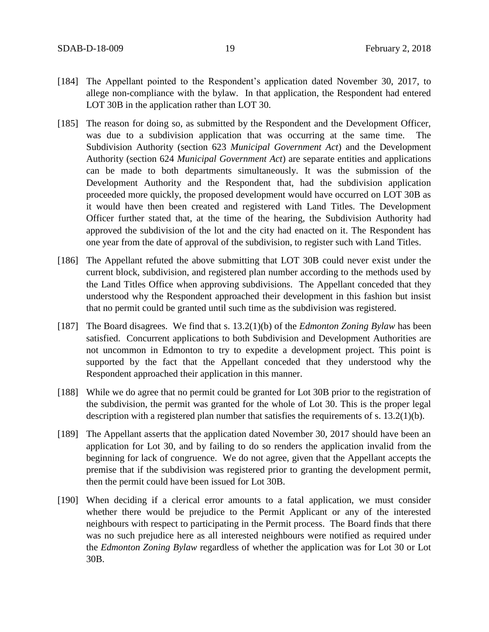- [184] The Appellant pointed to the Respondent's application dated November 30, 2017, to allege non-compliance with the bylaw. In that application, the Respondent had entered LOT 30B in the application rather than LOT 30.
- [185] The reason for doing so, as submitted by the Respondent and the Development Officer, was due to a subdivision application that was occurring at the same time. The Subdivision Authority (section 623 *Municipal Government Act*) and the Development Authority (section 624 *Municipal Government Act*) are separate entities and applications can be made to both departments simultaneously. It was the submission of the Development Authority and the Respondent that, had the subdivision application proceeded more quickly, the proposed development would have occurred on LOT 30B as it would have then been created and registered with Land Titles. The Development Officer further stated that, at the time of the hearing, the Subdivision Authority had approved the subdivision of the lot and the city had enacted on it. The Respondent has one year from the date of approval of the subdivision, to register such with Land Titles.
- [186] The Appellant refuted the above submitting that LOT 30B could never exist under the current block, subdivision, and registered plan number according to the methods used by the Land Titles Office when approving subdivisions. The Appellant conceded that they understood why the Respondent approached their development in this fashion but insist that no permit could be granted until such time as the subdivision was registered.
- [187] The Board disagrees. We find that s. 13.2(1)(b) of the *Edmonton Zoning Bylaw* has been satisfied. Concurrent applications to both Subdivision and Development Authorities are not uncommon in Edmonton to try to expedite a development project. This point is supported by the fact that the Appellant conceded that they understood why the Respondent approached their application in this manner.
- [188] While we do agree that no permit could be granted for Lot 30B prior to the registration of the subdivision, the permit was granted for the whole of Lot 30. This is the proper legal description with a registered plan number that satisfies the requirements of s. 13.2(1)(b).
- [189] The Appellant asserts that the application dated November 30, 2017 should have been an application for Lot 30, and by failing to do so renders the application invalid from the beginning for lack of congruence. We do not agree, given that the Appellant accepts the premise that if the subdivision was registered prior to granting the development permit, then the permit could have been issued for Lot 30B.
- [190] When deciding if a clerical error amounts to a fatal application, we must consider whether there would be prejudice to the Permit Applicant or any of the interested neighbours with respect to participating in the Permit process. The Board finds that there was no such prejudice here as all interested neighbours were notified as required under the *Edmonton Zoning Bylaw* regardless of whether the application was for Lot 30 or Lot 30B.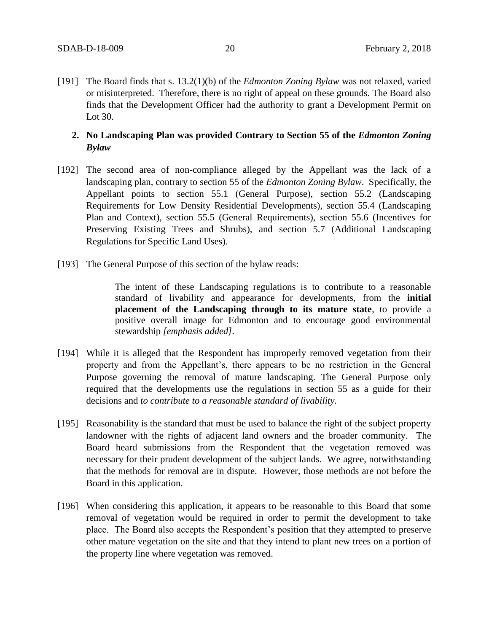[191] The Board finds that s. 13.2(1)(b) of the *Edmonton Zoning Bylaw* was not relaxed, varied or misinterpreted. Therefore, there is no right of appeal on these grounds. The Board also finds that the Development Officer had the authority to grant a Development Permit on Lot 30.

# 2. No Landscaping Plan was provided Contrary to Section 55 of the *Edmonton Zoning Bylaw*

- [192] The second area of non-compliance alleged by the Appellant was the lack of a landscaping plan, contrary to section 55 of the *Edmonton Zoning Bylaw*. Specifically, the Appellant points to section 55.1 (General Purpose), section 55.2 (Landscaping Requirements for Low Density Residential Developments), section 55.4 (Landscaping Plan and Context), section 55.5 (General Requirements), section 55.6 (Incentives for Preserving Existing Trees and Shrubs), and section 5.7 (Additional Landscaping Regulations for Specific Land Uses).
- [193] The General Purpose of this section of the bylaw reads:

The intent of these Landscaping regulations is to contribute to a reasonable standard of livability and appearance for developments, from the **initial placement of the Landscaping through to its mature state**, to provide a positive overall image for Edmonton and to encourage good environmental stewardship *[emphasis added].*

- [194] While it is alleged that the Respondent has improperly removed vegetation from their property and from the Appellant's, there appears to be no restriction in the General Purpose governing the removal of mature landscaping. The General Purpose only required that the developments use the regulations in section 55 as a guide for their decisions and *to contribute to a reasonable standard of livability.*
- [195] Reasonability is the standard that must be used to balance the right of the subject property landowner with the rights of adjacent land owners and the broader community. The Board heard submissions from the Respondent that the vegetation removed was necessary for their prudent development of the subject lands. We agree, notwithstanding that the methods for removal are in dispute. However, those methods are not before the Board in this application.
- [196] When considering this application, it appears to be reasonable to this Board that some removal of vegetation would be required in order to permit the development to take place. The Board also accepts the Respondent's position that they attempted to preserve other mature vegetation on the site and that they intend to plant new trees on a portion of the property line where vegetation was removed.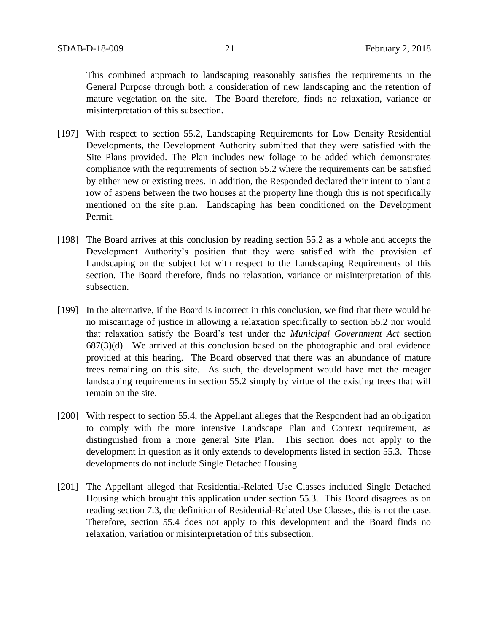This combined approach to landscaping reasonably satisfies the requirements in the General Purpose through both a consideration of new landscaping and the retention of mature vegetation on the site. The Board therefore, finds no relaxation, variance or misinterpretation of this subsection.

- [197] With respect to section 55.2, Landscaping Requirements for Low Density Residential Developments, the Development Authority submitted that they were satisfied with the Site Plans provided. The Plan includes new foliage to be added which demonstrates compliance with the requirements of section 55.2 where the requirements can be satisfied by either new or existing trees. In addition, the Responded declared their intent to plant a row of aspens between the two houses at the property line though this is not specifically mentioned on the site plan. Landscaping has been conditioned on the Development Permit.
- [198] The Board arrives at this conclusion by reading section 55.2 as a whole and accepts the Development Authority's position that they were satisfied with the provision of Landscaping on the subject lot with respect to the Landscaping Requirements of this section. The Board therefore, finds no relaxation, variance or misinterpretation of this subsection.
- [199] In the alternative, if the Board is incorrect in this conclusion, we find that there would be no miscarriage of justice in allowing a relaxation specifically to section 55.2 nor would that relaxation satisfy the Board's test under the *Municipal Government Act* section  $687(3)(d)$ . We arrived at this conclusion based on the photographic and oral evidence provided at this hearing. The Board observed that there was an abundance of mature trees remaining on this site. As such, the development would have met the meager landscaping requirements in section 55.2 simply by virtue of the existing trees that will remain on the site.
- [200] With respect to section 55.4, the Appellant alleges that the Respondent had an obligation to comply with the more intensive Landscape Plan and Context requirement, as distinguished from a more general Site Plan. This section does not apply to the development in question as it only extends to developments listed in section 55.3. Those developments do not include Single Detached Housing.
- [201] The Appellant alleged that Residential-Related Use Classes included Single Detached Housing which brought this application under section 55.3. This Board disagrees as on reading section 7.3, the definition of Residential-Related Use Classes, this is not the case. Therefore, section 55.4 does not apply to this development and the Board finds no relaxation, variation or misinterpretation of this subsection.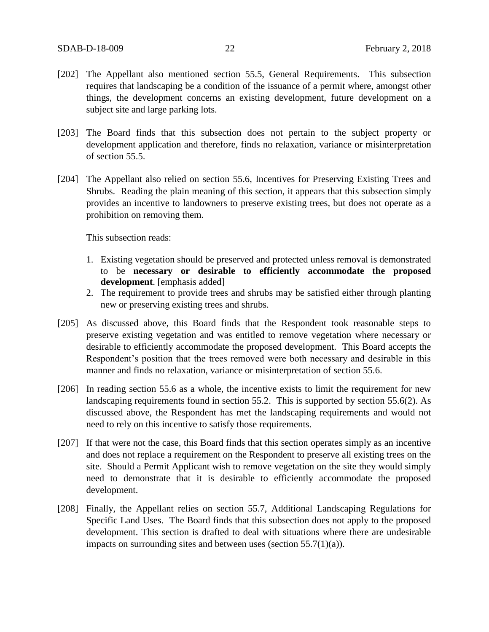- [202] The Appellant also mentioned section 55.5, General Requirements. This subsection requires that landscaping be a condition of the issuance of a permit where, amongst other things, the development concerns an existing development, future development on a subject site and large parking lots.
- [203] The Board finds that this subsection does not pertain to the subject property or development application and therefore, finds no relaxation, variance or misinterpretation of section 55.5.
- [204] The Appellant also relied on section 55.6, Incentives for Preserving Existing Trees and Shrubs. Reading the plain meaning of this section, it appears that this subsection simply provides an incentive to landowners to preserve existing trees, but does not operate as a prohibition on removing them.

This subsection reads:

- 1. Existing vegetation should be preserved and protected unless removal is demonstrated to be **necessary or desirable to efficiently accommodate the proposed development**. [emphasis added]
- 2. The requirement to provide trees and shrubs may be satisfied either through planting new or preserving existing trees and shrubs.
- [205] As discussed above, this Board finds that the Respondent took reasonable steps to preserve existing vegetation and was entitled to remove vegetation where necessary or desirable to efficiently accommodate the proposed development. This Board accepts the Respondent's position that the trees removed were both necessary and desirable in this manner and finds no relaxation, variance or misinterpretation of section 55.6.
- [206] In reading section 55.6 as a whole, the incentive exists to limit the requirement for new landscaping requirements found in section 55.2. This is supported by section 55.6(2). As discussed above, the Respondent has met the landscaping requirements and would not need to rely on this incentive to satisfy those requirements.
- [207] If that were not the case, this Board finds that this section operates simply as an incentive and does not replace a requirement on the Respondent to preserve all existing trees on the site. Should a Permit Applicant wish to remove vegetation on the site they would simply need to demonstrate that it is desirable to efficiently accommodate the proposed development.
- [208] Finally, the Appellant relies on section 55.7, Additional Landscaping Regulations for Specific Land Uses. The Board finds that this subsection does not apply to the proposed development. This section is drafted to deal with situations where there are undesirable impacts on surrounding sites and between uses (section  $55.7(1)(a)$ ).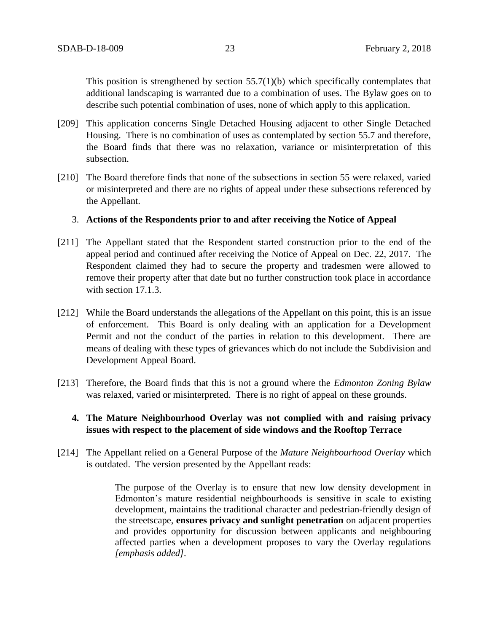This position is strengthened by section 55.7(1)(b) which specifically contemplates that additional landscaping is warranted due to a combination of uses. The Bylaw goes on to describe such potential combination of uses, none of which apply to this application.

- [209] This application concerns Single Detached Housing adjacent to other Single Detached Housing. There is no combination of uses as contemplated by section 55.7 and therefore, the Board finds that there was no relaxation, variance or misinterpretation of this subsection.
- [210] The Board therefore finds that none of the subsections in section 55 were relaxed, varied or misinterpreted and there are no rights of appeal under these subsections referenced by the Appellant.

## 3. **Actions of the Respondents prior to and after receiving the Notice of Appeal**

- [211] The Appellant stated that the Respondent started construction prior to the end of the appeal period and continued after receiving the Notice of Appeal on Dec. 22, 2017. The Respondent claimed they had to secure the property and tradesmen were allowed to remove their property after that date but no further construction took place in accordance with section 17.1.3.
- [212] While the Board understands the allegations of the Appellant on this point, this is an issue of enforcement. This Board is only dealing with an application for a Development Permit and not the conduct of the parties in relation to this development. There are means of dealing with these types of grievances which do not include the Subdivision and Development Appeal Board.
- [213] Therefore, the Board finds that this is not a ground where the *Edmonton Zoning Bylaw* was relaxed, varied or misinterpreted. There is no right of appeal on these grounds.

# **4. The Mature Neighbourhood Overlay was not complied with and raising privacy issues with respect to the placement of side windows and the Rooftop Terrace**

[214] The Appellant relied on a General Purpose of the *Mature Neighbourhood Overlay* which is outdated. The version presented by the Appellant reads:

> The purpose of the Overlay is to ensure that new low density development in Edmonton's mature residential neighbourhoods is sensitive in scale to existing development, maintains the traditional character and pedestrian-friendly design of the streetscape, **ensures privacy and sunlight penetration** on adjacent properties and provides opportunity for discussion between applicants and neighbouring affected parties when a development proposes to vary the Overlay regulations *[emphasis added].*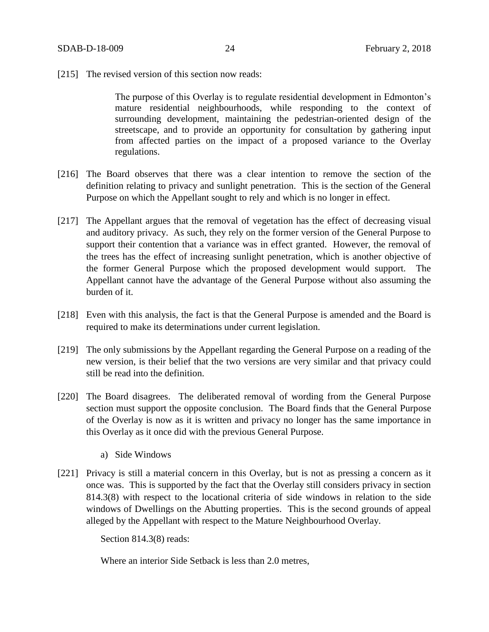[215] The revised version of this section now reads:

The purpose of this Overlay is to regulate residential development in Edmonton's mature residential neighbourhoods, while responding to the context of surrounding development, maintaining the pedestrian-oriented design of the streetscape, and to provide an opportunity for consultation by gathering input from affected parties on the impact of a proposed variance to the Overlay regulations.

- [216] The Board observes that there was a clear intention to remove the section of the definition relating to privacy and sunlight penetration. This is the section of the General Purpose on which the Appellant sought to rely and which is no longer in effect.
- [217] The Appellant argues that the removal of vegetation has the effect of decreasing visual and auditory privacy. As such, they rely on the former version of the General Purpose to support their contention that a variance was in effect granted. However, the removal of the trees has the effect of increasing sunlight penetration, which is another objective of the former General Purpose which the proposed development would support. The Appellant cannot have the advantage of the General Purpose without also assuming the burden of it.
- [218] Even with this analysis, the fact is that the General Purpose is amended and the Board is required to make its determinations under current legislation.
- [219] The only submissions by the Appellant regarding the General Purpose on a reading of the new version, is their belief that the two versions are very similar and that privacy could still be read into the definition.
- [220] The Board disagrees. The deliberated removal of wording from the General Purpose section must support the opposite conclusion. The Board finds that the General Purpose of the Overlay is now as it is written and privacy no longer has the same importance in this Overlay as it once did with the previous General Purpose.
	- a) Side Windows
- [221] Privacy is still a material concern in this Overlay, but is not as pressing a concern as it once was. This is supported by the fact that the Overlay still considers privacy in section 814.3(8) with respect to the locational criteria of side windows in relation to the side windows of Dwellings on the Abutting properties. This is the second grounds of appeal alleged by the Appellant with respect to the Mature Neighbourhood Overlay.

Section 814.3(8) reads:

Where an interior Side Setback is less than 2.0 metres,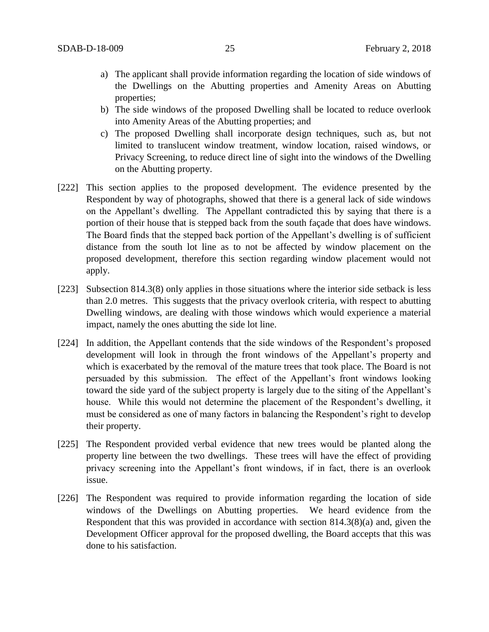- a) The applicant shall provide information regarding the location of side windows of the Dwellings on the Abutting properties and Amenity Areas on Abutting properties;
- b) The side windows of the proposed Dwelling shall be located to reduce overlook into Amenity Areas of the Abutting properties; and
- c) The proposed Dwelling shall incorporate design techniques, such as, but not limited to translucent window treatment, window location, raised windows, or Privacy Screening, to reduce direct line of sight into the windows of the Dwelling on the Abutting property.
- [222] This section applies to the proposed development. The evidence presented by the Respondent by way of photographs, showed that there is a general lack of side windows on the Appellant's dwelling. The Appellant contradicted this by saying that there is a portion of their house that is stepped back from the south façade that does have windows. The Board finds that the stepped back portion of the Appellant's dwelling is of sufficient distance from the south lot line as to not be affected by window placement on the proposed development, therefore this section regarding window placement would not apply.
- [223] Subsection 814.3(8) only applies in those situations where the interior side setback is less than 2.0 metres. This suggests that the privacy overlook criteria, with respect to abutting Dwelling windows, are dealing with those windows which would experience a material impact, namely the ones abutting the side lot line.
- [224] In addition, the Appellant contends that the side windows of the Respondent's proposed development will look in through the front windows of the Appellant's property and which is exacerbated by the removal of the mature trees that took place. The Board is not persuaded by this submission. The effect of the Appellant's front windows looking toward the side yard of the subject property is largely due to the siting of the Appellant's house. While this would not determine the placement of the Respondent's dwelling, it must be considered as one of many factors in balancing the Respondent's right to develop their property.
- [225] The Respondent provided verbal evidence that new trees would be planted along the property line between the two dwellings. These trees will have the effect of providing privacy screening into the Appellant's front windows, if in fact, there is an overlook issue.
- [226] The Respondent was required to provide information regarding the location of side windows of the Dwellings on Abutting properties. We heard evidence from the Respondent that this was provided in accordance with section 814.3(8)(a) and, given the Development Officer approval for the proposed dwelling, the Board accepts that this was done to his satisfaction.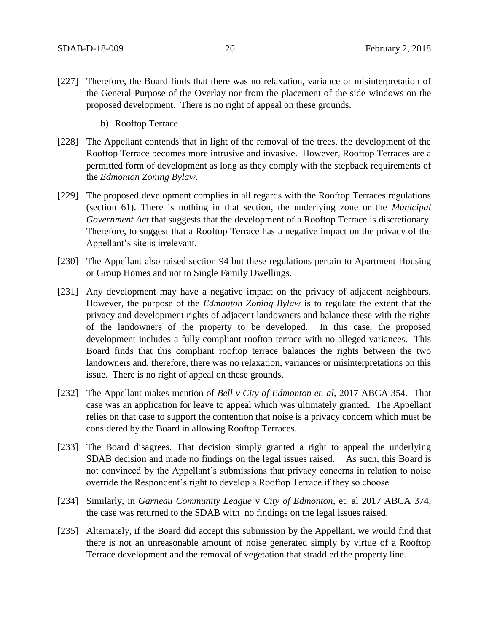- [227] Therefore, the Board finds that there was no relaxation, variance or misinterpretation of the General Purpose of the Overlay nor from the placement of the side windows on the proposed development. There is no right of appeal on these grounds.
	- b) Rooftop Terrace
- [228] The Appellant contends that in light of the removal of the trees, the development of the Rooftop Terrace becomes more intrusive and invasive. However, Rooftop Terraces are a permitted form of development as long as they comply with the stepback requirements of the *Edmonton Zoning Bylaw*.
- [229] The proposed development complies in all regards with the Rooftop Terraces regulations (section 61). There is nothing in that section, the underlying zone or the *Municipal Government Act* that suggests that the development of a Rooftop Terrace is discretionary. Therefore, to suggest that a Rooftop Terrace has a negative impact on the privacy of the Appellant's site is irrelevant.
- [230] The Appellant also raised section 94 but these regulations pertain to Apartment Housing or Group Homes and not to Single Family Dwellings.
- [231] Any development may have a negative impact on the privacy of adjacent neighbours. However, the purpose of the *Edmonton Zoning Bylaw* is to regulate the extent that the privacy and development rights of adjacent landowners and balance these with the rights of the landowners of the property to be developed. In this case, the proposed development includes a fully compliant rooftop terrace with no alleged variances. This Board finds that this compliant rooftop terrace balances the rights between the two landowners and, therefore, there was no relaxation, variances or misinterpretations on this issue. There is no right of appeal on these grounds.
- [232] The Appellant makes mention of *Bell v City of Edmonton et. al,* 2017 ABCA 354. That case was an application for leave to appeal which was ultimately granted. The Appellant relies on that case to support the contention that noise is a privacy concern which must be considered by the Board in allowing Rooftop Terraces.
- [233] The Board disagrees. That decision simply granted a right to appeal the underlying SDAB decision and made no findings on the legal issues raised. As such, this Board is not convinced by the Appellant's submissions that privacy concerns in relation to noise override the Respondent's right to develop a Rooftop Terrace if they so choose.
- [234] Similarly, in *Garneau Community League* v *City of Edmonton*, et. al 2017 ABCA 374, the case was returned to the SDAB with no findings on the legal issues raised.
- [235] Alternately, if the Board did accept this submission by the Appellant, we would find that there is not an unreasonable amount of noise generated simply by virtue of a Rooftop Terrace development and the removal of vegetation that straddled the property line.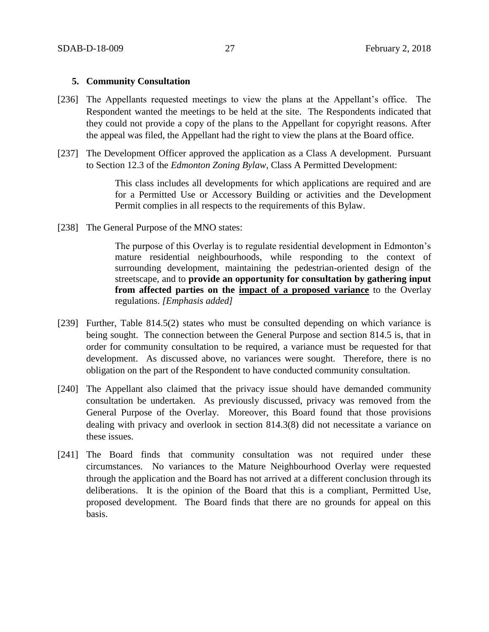## **5. Community Consultation**

- [236] The Appellants requested meetings to view the plans at the Appellant's office. The Respondent wanted the meetings to be held at the site. The Respondents indicated that they could not provide a copy of the plans to the Appellant for copyright reasons. After the appeal was filed, the Appellant had the right to view the plans at the Board office.
- [237] The Development Officer approved the application as a Class A development. Pursuant to Section 12.3 of the *Edmonton Zoning Bylaw,* Class A Permitted Development:

This class includes all developments for which applications are required and are for a Permitted Use or Accessory Building or activities and the Development Permit complies in all respects to the requirements of this Bylaw.

[238] The General Purpose of the MNO states:

The purpose of this Overlay is to regulate residential development in Edmonton's mature residential neighbourhoods, while responding to the context of surrounding development, maintaining the pedestrian-oriented design of the streetscape, and to **provide an opportunity for consultation by gathering input from affected parties on the impact of a proposed variance** to the Overlay regulations. *[Emphasis added]*

- [239] Further, Table 814.5(2) states who must be consulted depending on which variance is being sought. The connection between the General Purpose and section 814.5 is, that in order for community consultation to be required, a variance must be requested for that development. As discussed above, no variances were sought. Therefore, there is no obligation on the part of the Respondent to have conducted community consultation.
- [240] The Appellant also claimed that the privacy issue should have demanded community consultation be undertaken. As previously discussed, privacy was removed from the General Purpose of the Overlay. Moreover, this Board found that those provisions dealing with privacy and overlook in section 814.3(8) did not necessitate a variance on these issues.
- [241] The Board finds that community consultation was not required under these circumstances. No variances to the Mature Neighbourhood Overlay were requested through the application and the Board has not arrived at a different conclusion through its deliberations. It is the opinion of the Board that this is a compliant, Permitted Use, proposed development. The Board finds that there are no grounds for appeal on this basis.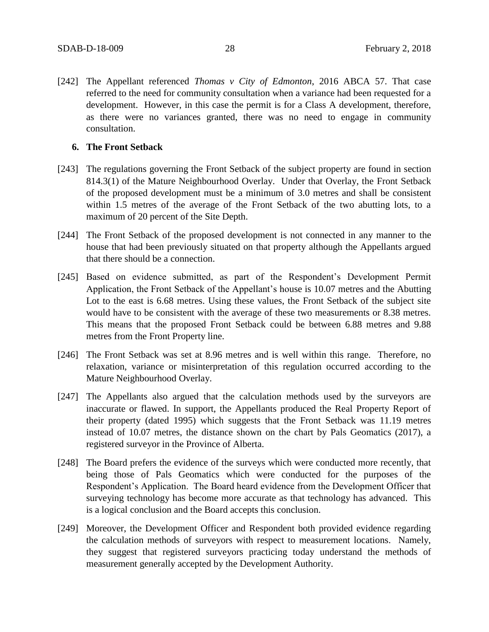[242] The Appellant referenced *Thomas v City of Edmonton*, 2016 ABCA 57. That case referred to the need for community consultation when a variance had been requested for a development. However, in this case the permit is for a Class A development, therefore, as there were no variances granted, there was no need to engage in community consultation.

## **6. The Front Setback**

- [243] The regulations governing the Front Setback of the subject property are found in section 814.3(1) of the Mature Neighbourhood Overlay. Under that Overlay, the Front Setback of the proposed development must be a minimum of 3.0 metres and shall be consistent within 1.5 metres of the average of the Front Setback of the two abutting lots, to a maximum of 20 percent of the Site Depth.
- [244] The Front Setback of the proposed development is not connected in any manner to the house that had been previously situated on that property although the Appellants argued that there should be a connection.
- [245] Based on evidence submitted, as part of the Respondent's Development Permit Application, the Front Setback of the Appellant's house is 10.07 metres and the Abutting Lot to the east is 6.68 metres. Using these values, the Front Setback of the subject site would have to be consistent with the average of these two measurements or 8.38 metres. This means that the proposed Front Setback could be between 6.88 metres and 9.88 metres from the Front Property line.
- [246] The Front Setback was set at 8.96 metres and is well within this range. Therefore, no relaxation, variance or misinterpretation of this regulation occurred according to the Mature Neighbourhood Overlay.
- [247] The Appellants also argued that the calculation methods used by the surveyors are inaccurate or flawed. In support, the Appellants produced the Real Property Report of their property (dated 1995) which suggests that the Front Setback was 11.19 metres instead of 10.07 metres, the distance shown on the chart by Pals Geomatics (2017), a registered surveyor in the Province of Alberta.
- [248] The Board prefers the evidence of the surveys which were conducted more recently, that being those of Pals Geomatics which were conducted for the purposes of the Respondent's Application. The Board heard evidence from the Development Officer that surveying technology has become more accurate as that technology has advanced. This is a logical conclusion and the Board accepts this conclusion.
- [249] Moreover, the Development Officer and Respondent both provided evidence regarding the calculation methods of surveyors with respect to measurement locations. Namely, they suggest that registered surveyors practicing today understand the methods of measurement generally accepted by the Development Authority.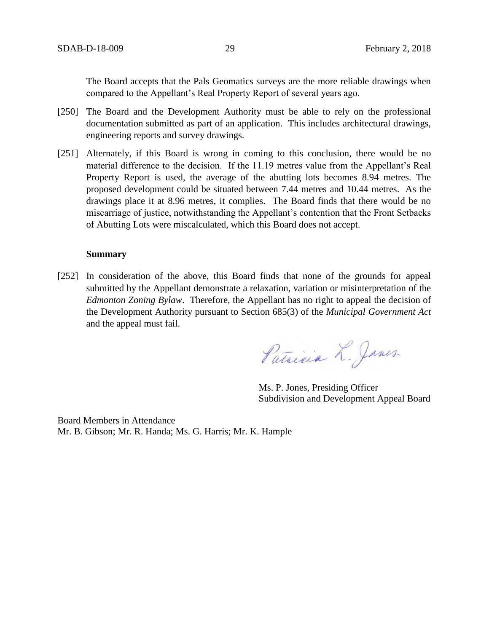The Board accepts that the Pals Geomatics surveys are the more reliable drawings when compared to the Appellant's Real Property Report of several years ago.

- [250] The Board and the Development Authority must be able to rely on the professional documentation submitted as part of an application. This includes architectural drawings, engineering reports and survey drawings.
- [251] Alternately, if this Board is wrong in coming to this conclusion, there would be no material difference to the decision. If the 11.19 metres value from the Appellant's Real Property Report is used, the average of the abutting lots becomes 8.94 metres. The proposed development could be situated between 7.44 metres and 10.44 metres. As the drawings place it at 8.96 metres, it complies. The Board finds that there would be no miscarriage of justice, notwithstanding the Appellant's contention that the Front Setbacks of Abutting Lots were miscalculated, which this Board does not accept.

### **Summary**

[252] In consideration of the above, this Board finds that none of the grounds for appeal submitted by the Appellant demonstrate a relaxation, variation or misinterpretation of the *Edmonton Zoning Bylaw*. Therefore, the Appellant has no right to appeal the decision of the Development Authority pursuant to Section 685(3) of the *Municipal Government Act*  and the appeal must fail.

Patricia L. Janes.

Ms. P. Jones, Presiding Officer Subdivision and Development Appeal Board

Board Members in Attendance Mr. B. Gibson; Mr. R. Handa; Ms. G. Harris; Mr. K. Hample